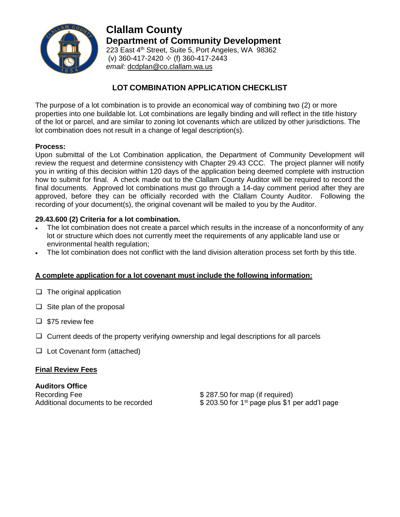

**Clallam County Department of Community Development** 223 East 4<sup>th</sup> Street, Suite 5, Port Angeles, WA 98362 (v) 360-417-2420  $\div$  (f) 360-417-2443 *email:* [dcdplan@co.clallam.wa.us](mailto:cmckeown@co.clallam.wa.us)

# **LOT COMBINATION APPLICATION CHECKLIST**

The purpose of a lot combination is to provide an economical way of combining two (2) or more properties into one buildable lot. Lot combinations are legally binding and will reflect in the title history of the lot or parcel, and are similar to zoning lot covenants which are utilized by other jurisdictions. The lot combination does not result in a change of legal description(s).

## **Process:**

Upon submittal of the Lot Combination application, the Department of Community Development will review the request and determine consistency with Chapter 29.43 CCC. The project planner will notify you in writing of this decision within 120 days of the application being deemed complete with instruction how to submit for final. A check made out to the Clallam County Auditor will be required to record the final documents. Approved lot combinations must go through a 14-day comment period after they are approved, before they can be officially recorded with the Clallam County Auditor. Following the recording of your document(s), the original covenant will be mailed to you by the Auditor.

## **29.43.600 (2) Criteria for a lot combination.**

- The lot combination does not create a parcel which results in the increase of a nonconformity of any lot or structure which does not currently meet the requirements of any applicable land use or environmental health regulation;
- The lot combination does not conflict with the land division alteration process set forth by this title.

### **A complete application for a lot covenant must include the following information:**

- $\Box$  The original application
- $\Box$  Site plan of the proposal
- $\square$  \$75 review fee
- $\Box$  Current deeds of the property verifying ownership and legal descriptions for all parcels
- $\Box$  Lot Covenant form (attached)

### **Final Review Fees**

**Auditors Office**  Recording Fee \$ 287.50 for map (if required)

Additional documents to be recorded  $$ 203.50$  for 1<sup>st</sup> page plus \$1 per add'l page